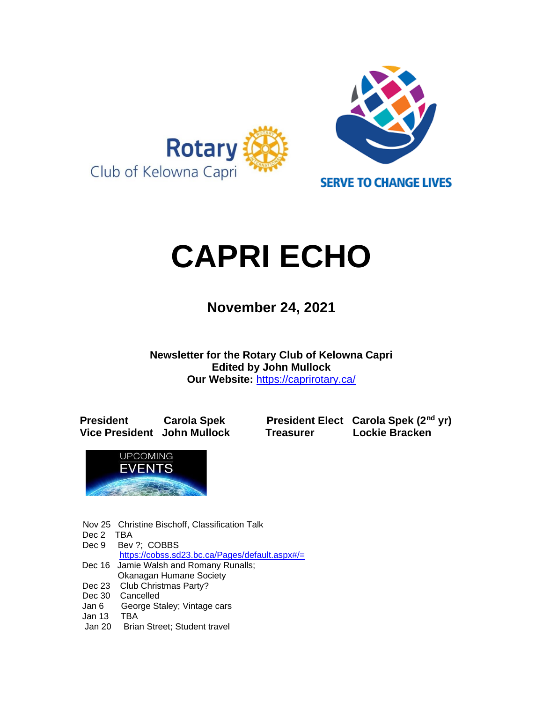

# **CAPRI ECHO**

 **November 24, <sup>2021</sup>**

**Newsletter for the Rotary Club of Kelowna Capri Edited by John Mullock Our Website:** <https://caprirotary.ca/>

**President Carola Spek President Elect Carola Spek (2nd yr) Vice President John Mullock Treasurer Lockie Bracken**



- Nov 25 Christine Bischoff, Classification Talk
- Dec 2 TBA
- Dec 9 Bev ?: COBBS
- <https://cobss.sd23.bc.ca/Pages/default.aspx#/=> Dec 16 Jamie Walsh and Romany Runalls;
- Okanagan Humane Society
- Dec 23 Club Christmas Party?
- Dec 30 Cancelled
- Jan 6 George Staley; Vintage cars
- Jan 13 TBA
- Jan 20 Brian Street; Student travel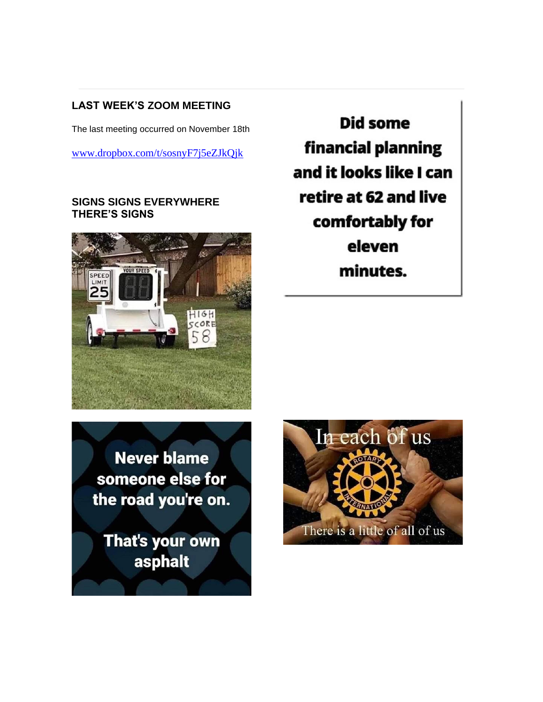# **LAST WEEK'S ZOOM MEETING**

The last meeting occurred on November 18th

[www.dropbox.com/t/sosnyF7j5eZJkQjk](http://www.dropbox.com/t/sosnyF7j5eZJkQjk)

## **SIGNS SIGNS EVERYWHERE THERE'S SIGNS**



**Did some** financial planning and it looks like I can retire at 62 and live comfortably for eleven minutes.

**Never blame** someone else for the road you're on.

That's your own asphalt

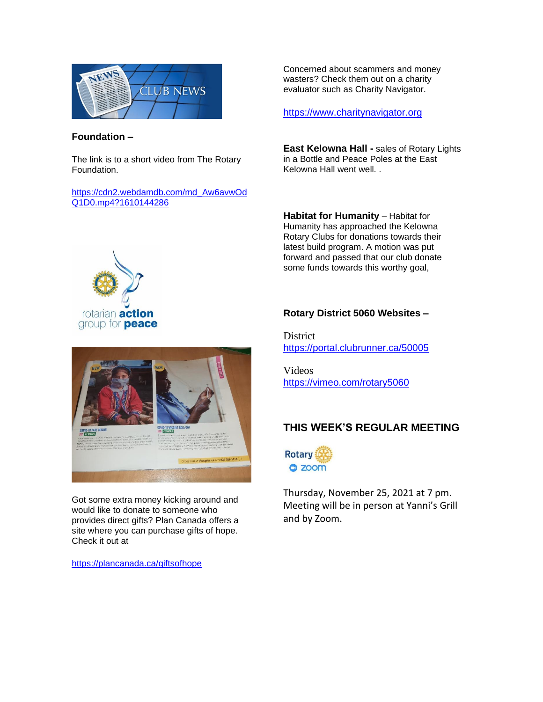

#### **Foundation –**

The link is to a short video from The Rotary Foundation.

[https://cdn2.webdamdb.com/md\\_Aw6avwOd](https://cdn2.webdamdb.com/md_Aw6avwOdQ1D0.mp4?1610144286) [Q1D0.mp4?1610144286](https://cdn2.webdamdb.com/md_Aw6avwOdQ1D0.mp4?1610144286)

Concerned about scammers and money wasters? Check them out on a charity evaluator such as Charity Navigator.

[https://www.charitynavigator.org](https://www.charitynavigator.org/)

**East Kelowna Hall -** sales of Rotary Lights in a Bottle and Peace Poles at the East Kelowna Hall went well. .

**Habitat for Humanity** – Habitat for Humanity has approached the Kelowna Rotary Clubs for donations towards their latest build program. A motion was put forward and passed that our club donate some funds towards this worthy goal,



# plangifts.ca or 1 800 387-14

Got some extra money kicking around and would like to donate to someone who provides direct gifts? Plan Canada offers a site where you can purchase gifts of hope. Check it out at

<https://plancanada.ca/giftsofhope>

#### **Rotary District 5060 Websites –**

District <https://portal.clubrunner.ca/50005>

Videos <https://vimeo.com/rotary5060>

# **THIS WEEK'S REGULAR MEETING**



Thursday, November 25, 2021 at 7 pm. Meeting will be in person at Yanni's Grill and by Zoom.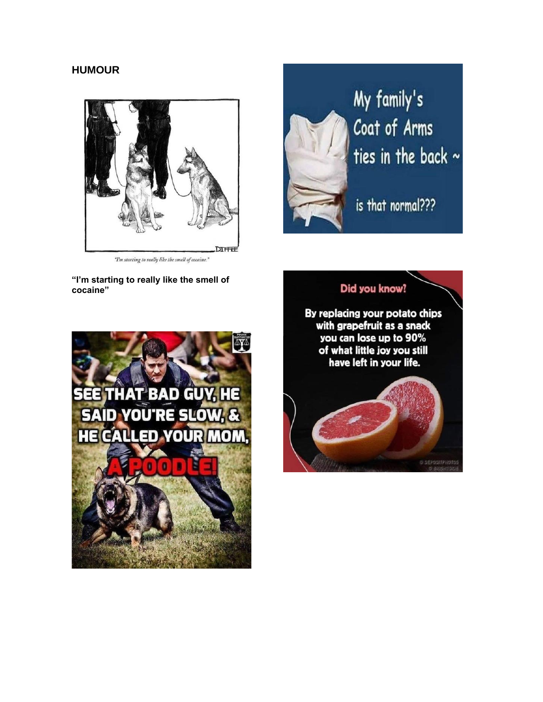# **HUMOUR**



"I'm starting to really like the smell of cocaine."

**"I'm starting to really like the smell of cocaine"**





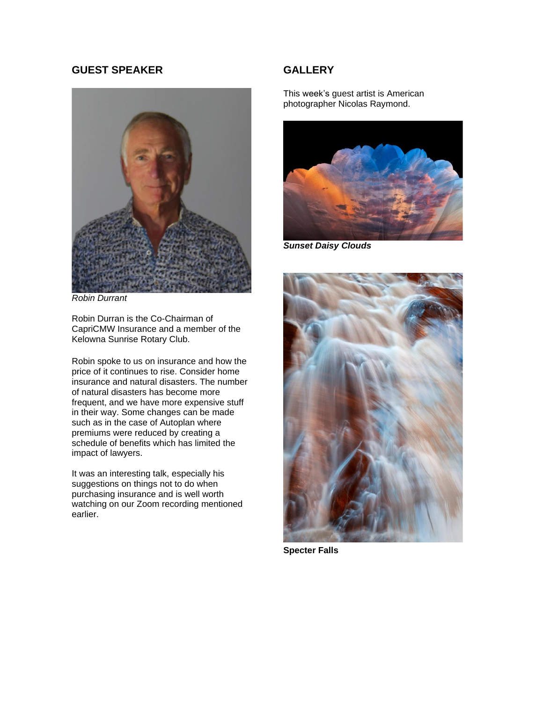#### **GUEST SPEAKER**



*Robin Durrant*

Robin Durran is the Co-Chairman of CapriCMW Insurance and a member of the Kelowna Sunrise Rotary Club.

Robin spoke to us on insurance and how the price of it continues to rise. Consider home insurance and natural disasters. The number of natural disasters has become more frequent, and we have more expensive stuff in their way. Some changes can be made such as in the case of Autoplan where premiums were reduced by creating a schedule of benefits which has limited the impact of lawyers.

It was an interesting talk, especially his suggestions on things not to do when purchasing insurance and is well worth watching on our Zoom recording mentioned earlier.

#### **GALLERY**

This week's guest artist is American photographer Nicolas Raymond.



*Sunset Daisy Clouds*



**Specter Falls**